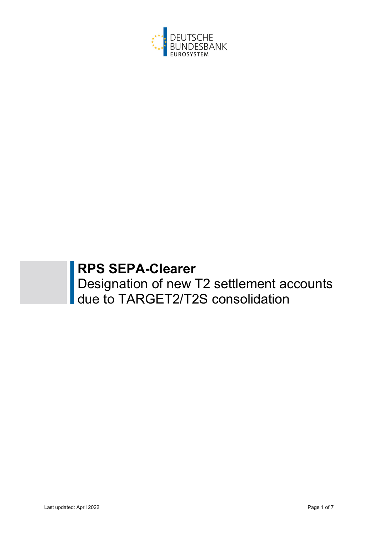

# **RPS SEPA-Clearer**

Designation of new T2 settlement accounts due to TARGET2/T2S consolidation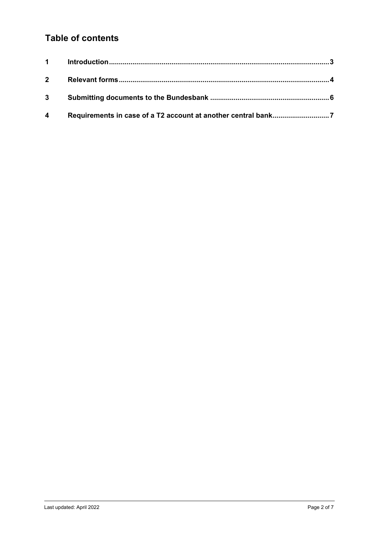# **Table of contents**

| 3 <sup>1</sup> |  |
|----------------|--|
| $\overline{4}$ |  |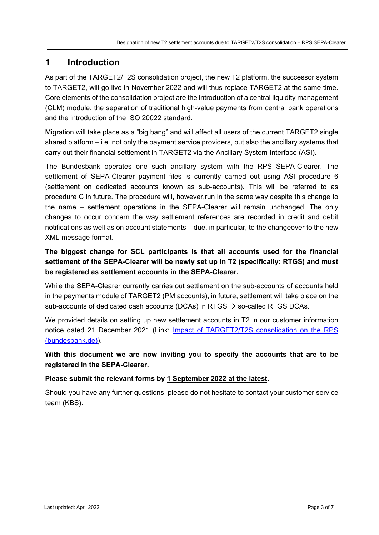# **1 Introduction**

As part of the TARGET2/T2S consolidation project, the new T2 platform, the successor system to TARGET2, will go live in November 2022 and will thus replace TARGET2 at the same time. Core elements of the consolidation project are the introduction of a central liquidity management (CLM) module, the separation of traditional high-value payments from central bank operations and the introduction of the ISO 20022 standard.

Migration will take place as a "big bang" and will affect all users of the current TARGET2 single shared platform – i.e. not only the payment service providers, but also the ancillary systems that carry out their financial settlement in TARGET2 via the Ancillary System Interface (ASI).

The Bundesbank operates one such ancillary system with the RPS SEPA-Clearer. The settlement of SEPA-Clearer payment files is currently carried out using ASI procedure 6 (settlement on dedicated accounts known as sub-accounts). This will be referred to as procedure C in future. The procedure will, however,run in the same way despite this change to the name – settlement operations in the SEPA-Clearer will remain unchanged. The only changes to occur concern the way settlement references are recorded in credit and debit notifications as well as on account statements – due, in particular, to the changeover to the new XML message format.

**The biggest change for SCL participants is that all accounts used for the financial settlement of the SEPA-Clearer will be newly set up in T2 (specifically: RTGS) and must be registered as settlement accounts in the SEPA-Clearer.** 

While the SEPA-Clearer currently carries out settlement on the sub-accounts of accounts held in the payments module of TARGET2 (PM accounts), in future, settlement will take place on the sub-accounts of dedicated cash accounts (DCAs) in RTGS  $\rightarrow$  so-called RTGS DCAs.

We provided details on setting up new settlement accounts in T2 in our customer information notice dated 21 December 2021 (Link: Impact of TARGET2/T2S consolidation on the RPS (bundesbank.de)).

**With this document we are now inviting you to specify the accounts that are to be registered in the SEPA-Clearer.** 

#### **Please submit the relevant forms by 1 September 2022 at the latest.**

Should you have any further questions, please do not hesitate to contact your customer service team (KBS).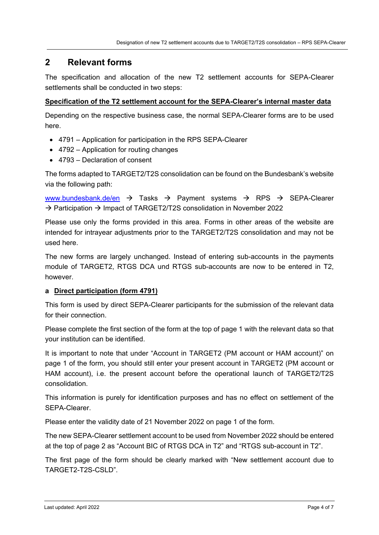### **2 Relevant forms**

The specification and allocation of the new T2 settlement accounts for SEPA-Clearer settlements shall be conducted in two steps:

#### **Specification of the T2 settlement account for the SEPA-Clearer's internal master data**

Depending on the respective business case, the normal SEPA-Clearer forms are to be used here.

- 4791 Application for participation in the RPS SEPA-Clearer
- 4792 Application for routing changes
- 4793 Declaration of consent

The forms adapted to TARGET2/T2S consolidation can be found on the Bundesbank's website via the following path:

www.bundesbank.de/en  $\rightarrow$  Tasks  $\rightarrow$  Payment systems  $\rightarrow$  RPS  $\rightarrow$  SEPA-Clearer  $\rightarrow$  Participation  $\rightarrow$  Impact of TARGET2/T2S consolidation in November 2022

Please use only the forms provided in this area. Forms in other areas of the website are intended for intrayear adjustments prior to the TARGET2/T2S consolidation and may not be used here.

The new forms are largely unchanged. Instead of entering sub-accounts in the payments module of TARGET2, RTGS DCA und RTGS sub-accounts are now to be entered in T2, however.

#### **a Direct participation (form 4791)**

This form is used by direct SEPA-Clearer participants for the submission of the relevant data for their connection.

Please complete the first section of the form at the top of page 1 with the relevant data so that your institution can be identified.

It is important to note that under "Account in TARGET2 (PM account or HAM account)" on page 1 of the form, you should still enter your present account in TARGET2 (PM account or HAM account), i.e. the present account before the operational launch of TARGET2/T2S consolidation.

This information is purely for identification purposes and has no effect on settlement of the SEPA-Clearer.

Please enter the validity date of 21 November 2022 on page 1 of the form.

The new SEPA-Clearer settlement account to be used from November 2022 should be entered at the top of page 2 as "Account BIC of RTGS DCA in T2" and "RTGS sub-account in T2".

The first page of the form should be clearly marked with "New settlement account due to TARGET2-T2S-CSLD".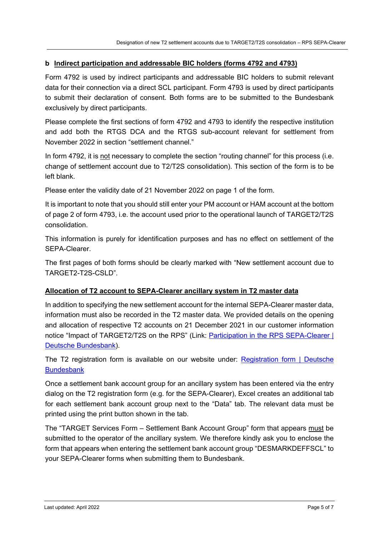#### **b Indirect participation and addressable BIC holders (forms 4792 and 4793)**

Form 4792 is used by indirect participants and addressable BIC holders to submit relevant data for their connection via a direct SCL participant. Form 4793 is used by direct participants to submit their declaration of consent. Both forms are to be submitted to the Bundesbank exclusively by direct participants.

Please complete the first sections of form 4792 and 4793 to identify the respective institution and add both the RTGS DCA and the RTGS sub-account relevant for settlement from November 2022 in section "settlement channel."

In form 4792, it is not necessary to complete the section "routing channel" for this process (i.e. change of settlement account due to T2/T2S consolidation). This section of the form is to be left blank.

Please enter the validity date of 21 November 2022 on page 1 of the form.

It is important to note that you should still enter your PM account or HAM account at the bottom of page 2 of form 4793, i.e. the account used prior to the operational launch of TARGET2/T2S consolidation.

This information is purely for identification purposes and has no effect on settlement of the SEPA-Clearer.

The first pages of both forms should be clearly marked with "New settlement account due to TARGET2-T2S-CSLD".

#### **Allocation of T2 account to SEPA-Clearer ancillary system in T2 master data**

In addition to specifying the new settlement account for the internal SEPA-Clearer master data, information must also be recorded in the T2 master data. We provided details on the opening and allocation of respective T2 accounts on 21 December 2021 in our customer information notice "Impact of TARGET2/T2S on the RPS" (Link: Participation in the RPS SEPA-Clearer | Deutsche Bundesbank).

The T2 registration form is available on our website under: Registration form | Deutsche **Bundesbank** 

Once a settlement bank account group for an ancillary system has been entered via the entry dialog on the T2 registration form (e.g. for the SEPA-Clearer), Excel creates an additional tab for each settlement bank account group next to the "Data" tab. The relevant data must be printed using the print button shown in the tab.

The "TARGET Services Form – Settlement Bank Account Group" form that appears must be submitted to the operator of the ancillary system. We therefore kindly ask you to enclose the form that appears when entering the settlement bank account group "DESMARKDEFFSCL" to your SEPA-Clearer forms when submitting them to Bundesbank.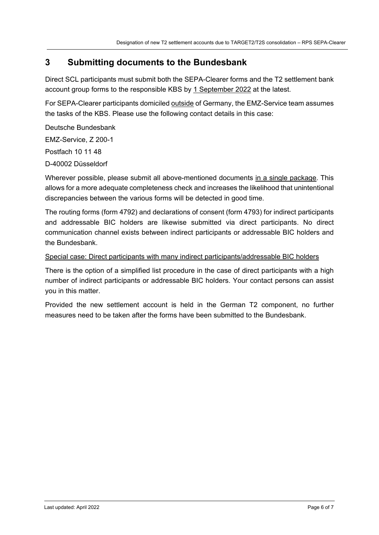## **3 Submitting documents to the Bundesbank**

Direct SCL participants must submit both the SEPA-Clearer forms and the T2 settlement bank account group forms to the responsible KBS by 1 September 2022 at the latest.

For SEPA-Clearer participants domiciled outside of Germany, the EMZ-Service team assumes the tasks of the KBS. Please use the following contact details in this case:

Deutsche Bundesbank EMZ-Service, Z 200-1 Postfach 10 11 48 D-40002 Düsseldorf

Wherever possible, please submit all above-mentioned documents in a single package. This allows for a more adequate completeness check and increases the likelihood that unintentional discrepancies between the various forms will be detected in good time.

The routing forms (form 4792) and declarations of consent (form 4793) for indirect participants and addressable BIC holders are likewise submitted via direct participants. No direct communication channel exists between indirect participants or addressable BIC holders and the Bundesbank.

#### Special case: Direct participants with many indirect participants/addressable BIC holders

There is the option of a simplified list procedure in the case of direct participants with a high number of indirect participants or addressable BIC holders. Your contact persons can assist you in this matter.

Provided the new settlement account is held in the German T2 component, no further measures need to be taken after the forms have been submitted to the Bundesbank.